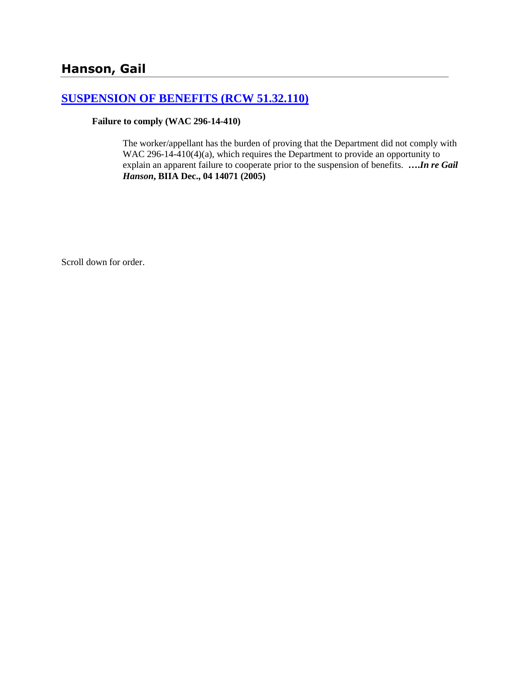# **[SUSPENSION OF BENEFITS \(RCW 51.32.110\)](http://www.biia.wa.gov/SDSubjectIndex.html#SUSPENSION_OF_BENEFITS)**

#### **Failure to comply (WAC 296-14-410)**

The worker/appellant has the burden of proving that the Department did not comply with WAC 296-14-410(4)(a), which requires the Department to provide an opportunity to explain an apparent failure to cooperate prior to the suspension of benefits. **….***In re Gail Hanson***, BIIA Dec., 04 14071 (2005)**

Scroll down for order.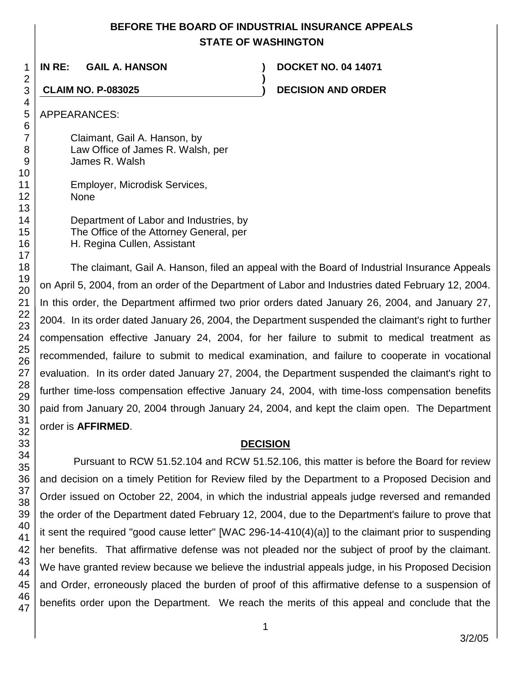# **BEFORE THE BOARD OF INDUSTRIAL INSURANCE APPEALS STATE OF WASHINGTON**

**)**

**IN RE: GAIL A. HANSON ) DOCKET NO. 04 14071**

**CLAIM NO. P-083025 ) DECISION AND ORDER**

# APPEARANCES:

Claimant, Gail A. Hanson, by Law Office of James R. Walsh, per James R. Walsh

Employer, Microdisk Services, None

Department of Labor and Industries, by The Office of the Attorney General, per H. Regina Cullen, Assistant

The claimant, Gail A. Hanson, filed an appeal with the Board of Industrial Insurance Appeals on April 5, 2004, from an order of the Department of Labor and Industries dated February 12, 2004. In this order, the Department affirmed two prior orders dated January 26, 2004, and January 27, 2004. In its order dated January 26, 2004, the Department suspended the claimant's right to further compensation effective January 24, 2004, for her failure to submit to medical treatment as recommended, failure to submit to medical examination, and failure to cooperate in vocational evaluation. In its order dated January 27, 2004, the Department suspended the claimant's right to further time-loss compensation effective January 24, 2004, with time-loss compensation benefits paid from January 20, 2004 through January 24, 2004, and kept the claim open. The Department order is **AFFIRMED**.

# **DECISION**

Pursuant to RCW 51.52.104 and RCW 51.52.106, this matter is before the Board for review and decision on a timely Petition for Review filed by the Department to a Proposed Decision and Order issued on October 22, 2004, in which the industrial appeals judge reversed and remanded the order of the Department dated February 12, 2004, due to the Department's failure to prove that it sent the required "good cause letter" [WAC 296-14-410(4)(a)] to the claimant prior to suspending her benefits. That affirmative defense was not pleaded nor the subject of proof by the claimant. We have granted review because we believe the industrial appeals judge, in his Proposed Decision and Order, erroneously placed the burden of proof of this affirmative defense to a suspension of benefits order upon the Department. We reach the merits of this appeal and conclude that the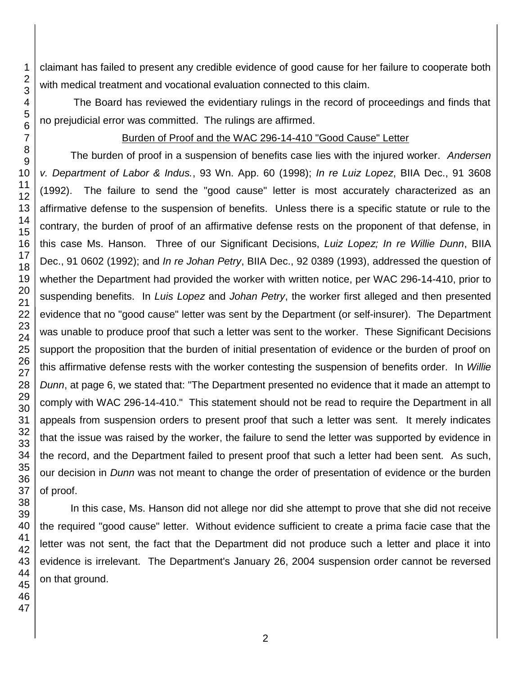claimant has failed to present any credible evidence of good cause for her failure to cooperate both with medical treatment and vocational evaluation connected to this claim.

The Board has reviewed the evidentiary rulings in the record of proceedings and finds that no prejudicial error was committed. The rulings are affirmed.

## Burden of Proof and the WAC 296-14-410 "Good Cause" Letter

The burden of proof in a suspension of benefits case lies with the injured worker. *Andersen v. Department of Labor & Indus.*, 93 Wn. App. 60 (1998); *In re Luiz Lopez*, BIIA Dec., 91 3608 (1992). The failure to send the "good cause" letter is most accurately characterized as an affirmative defense to the suspension of benefits. Unless there is a specific statute or rule to the contrary, the burden of proof of an affirmative defense rests on the proponent of that defense, in this case Ms. Hanson. Three of our Significant Decisions, *Luiz Lopez; In re Willie Dunn*, BIIA Dec., 91 0602 (1992); and *In re Johan Petry*, BIIA Dec., 92 0389 (1993), addressed the question of whether the Department had provided the worker with written notice, per WAC 296-14-410, prior to suspending benefits. In *Luis Lopez* and *Johan Petry*, the worker first alleged and then presented evidence that no "good cause" letter was sent by the Department (or self-insurer). The Department was unable to produce proof that such a letter was sent to the worker. These Significant Decisions support the proposition that the burden of initial presentation of evidence or the burden of proof on this affirmative defense rests with the worker contesting the suspension of benefits order. In *Willie Dunn*, at page 6, we stated that: "The Department presented no evidence that it made an attempt to comply with WAC 296-14-410." This statement should not be read to require the Department in all appeals from suspension orders to present proof that such a letter was sent. It merely indicates that the issue was raised by the worker, the failure to send the letter was supported by evidence in the record, and the Department failed to present proof that such a letter had been sent. As such, our decision in *Dunn* was not meant to change the order of presentation of evidence or the burden of proof.

In this case, Ms. Hanson did not allege nor did she attempt to prove that she did not receive the required "good cause" letter. Without evidence sufficient to create a prima facie case that the letter was not sent, the fact that the Department did not produce such a letter and place it into evidence is irrelevant. The Department's January 26, 2004 suspension order cannot be reversed on that ground.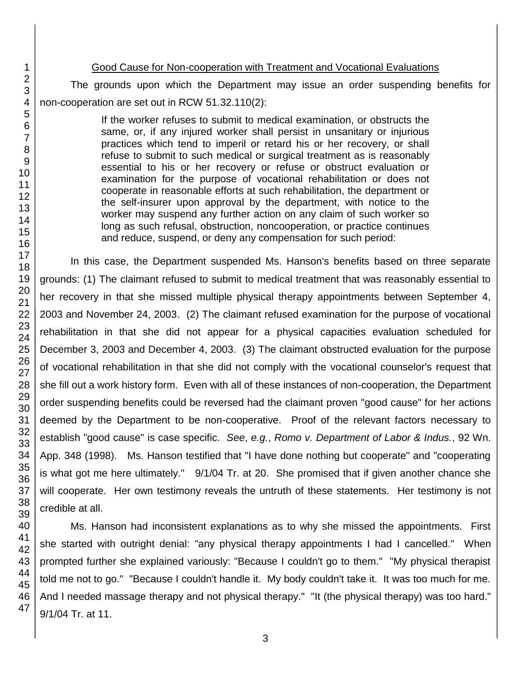#### Good Cause for Non-cooperation with Treatment and Vocational Evaluations

The grounds upon which the Department may issue an order suspending benefits for non-cooperation are set out in RCW 51.32.110(2):

> If the worker refuses to submit to medical examination, or obstructs the same, or, if any injured worker shall persist in unsanitary or injurious practices which tend to imperil or retard his or her recovery, or shall refuse to submit to such medical or surgical treatment as is reasonably essential to his or her recovery or refuse or obstruct evaluation or examination for the purpose of vocational rehabilitation or does not cooperate in reasonable efforts at such rehabilitation, the department or the self-insurer upon approval by the department, with notice to the worker may suspend any further action on any claim of such worker so long as such refusal, obstruction, noncooperation, or practice continues and reduce, suspend, or deny any compensation for such period:

In this case, the Department suspended Ms. Hanson's benefits based on three separate grounds: (1) The claimant refused to submit to medical treatment that was reasonably essential to her recovery in that she missed multiple physical therapy appointments between September 4, 2003 and November 24, 2003. (2) The claimant refused examination for the purpose of vocational rehabilitation in that she did not appear for a physical capacities evaluation scheduled for December 3, 2003 and December 4, 2003. (3) The claimant obstructed evaluation for the purpose of vocational rehabilitation in that she did not comply with the vocational counselor's request that she fill out a work history form. Even with all of these instances of non-cooperation, the Department order suspending benefits could be reversed had the claimant proven "good cause" for her actions deemed by the Department to be non-cooperative. Proof of the relevant factors necessary to establish "good cause" is case specific. *See*, *e.g.*, *Romo v. Department of Labor & Indus.*, 92 Wn. App. 348 (1998). Ms. Hanson testified that "I have done nothing but cooperate" and "cooperating is what got me here ultimately." 9/1/04 Tr. at 20. She promised that if given another chance she will cooperate. Her own testimony reveals the untruth of these statements. Her testimony is not credible at all.

Ms. Hanson had inconsistent explanations as to why she missed the appointments. First she started with outright denial: "any physical therapy appointments I had I cancelled." When prompted further she explained variously: "Because I couldn't go to them." "My physical therapist told me not to go." "Because I couldn't handle it. My body couldn't take it. It was too much for me. And I needed massage therapy and not physical therapy." "It (the physical therapy) was too hard." 9/1/04 Tr. at 11.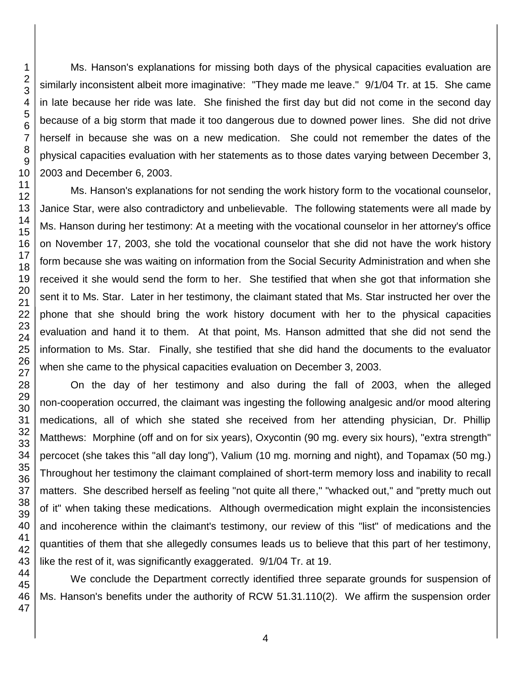Ms. Hanson's explanations for missing both days of the physical capacities evaluation are similarly inconsistent albeit more imaginative: "They made me leave." 9/1/04 Tr. at 15. She came in late because her ride was late. She finished the first day but did not come in the second day because of a big storm that made it too dangerous due to downed power lines. She did not drive herself in because she was on a new medication. She could not remember the dates of the physical capacities evaluation with her statements as to those dates varying between December 3, 2003 and December 6, 2003.

Ms. Hanson's explanations for not sending the work history form to the vocational counselor, Janice Star, were also contradictory and unbelievable. The following statements were all made by Ms. Hanson during her testimony: At a meeting with the vocational counselor in her attorney's office on November 17, 2003, she told the vocational counselor that she did not have the work history form because she was waiting on information from the Social Security Administration and when she received it she would send the form to her. She testified that when she got that information she sent it to Ms. Star.Later in her testimony, the claimant stated that Ms. Star instructed her over the phone that she should bring the work history document with her to the physical capacities evaluation and hand it to them. At that point, Ms. Hanson admitted that she did not send the information to Ms. Star. Finally, she testified that she did hand the documents to the evaluator when she came to the physical capacities evaluation on December 3, 2003.

On the day of her testimony and also during the fall of 2003, when the alleged non-cooperation occurred, the claimant was ingesting the following analgesic and/or mood altering medications, all of which she stated she received from her attending physician, Dr. Phillip Matthews: Morphine (off and on for six years), Oxycontin (90 mg. every six hours), "extra strength" percocet (she takes this "all day long"), Valium (10 mg. morning and night), and Topamax (50 mg.) Throughout her testimony the claimant complained of short-term memory loss and inability to recall matters. She described herself as feeling "not quite all there," "whacked out," and "pretty much out of it" when taking these medications. Although overmedication might explain the inconsistencies and incoherence within the claimant's testimony, our review of this "list" of medications and the quantities of them that she allegedly consumes leads us to believe that this part of her testimony, like the rest of it, was significantly exaggerated. 9/1/04 Tr. at 19.

We conclude the Department correctly identified three separate grounds for suspension of Ms. Hanson's benefits under the authority of RCW 51.31.110(2). We affirm the suspension order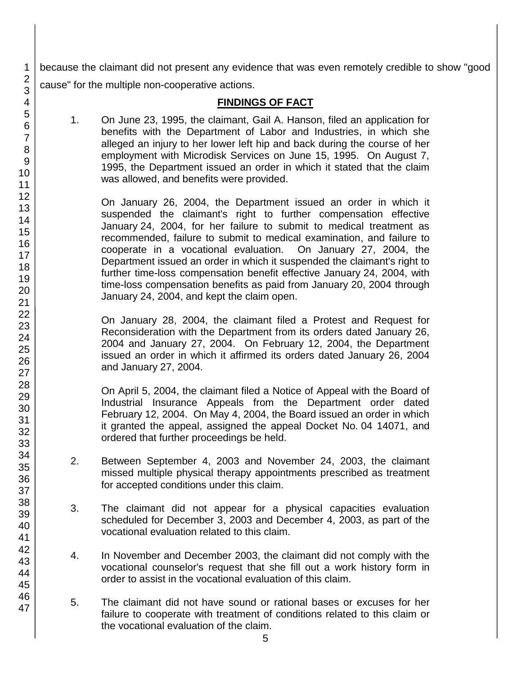because the claimant did not present any evidence that was even remotely credible to show "good cause" for the multiple non-cooperative actions.

## **FINDINGS OF FACT**

1. On June 23, 1995, the claimant, Gail A. Hanson, filed an application for benefits with the Department of Labor and Industries, in which she alleged an injury to her lower left hip and back during the course of her employment with Microdisk Services on June 15, 1995. On August 7, 1995, the Department issued an order in which it stated that the claim was allowed, and benefits were provided.

On January 26, 2004, the Department issued an order in which it suspended the claimant's right to further compensation effective January 24, 2004, for her failure to submit to medical treatment as recommended, failure to submit to medical examination, and failure to cooperate in a vocational evaluation. On January 27, 2004, the Department issued an order in which it suspended the claimant's right to further time-loss compensation benefit effective January 24, 2004, with time-loss compensation benefits as paid from January 20, 2004 through January 24, 2004, and kept the claim open.

On January 28, 2004, the claimant filed a Protest and Request for Reconsideration with the Department from its orders dated January 26, 2004 and January 27, 2004. On February 12, 2004, the Department issued an order in which it affirmed its orders dated January 26, 2004 and January 27, 2004.

On April 5, 2004, the claimant filed a Notice of Appeal with the Board of Industrial Insurance Appeals from the Department order dated February 12, 2004. On May 4, 2004, the Board issued an order in which it granted the appeal, assigned the appeal Docket No. 04 14071, and ordered that further proceedings be held.

- 2. Between September 4, 2003 and November 24, 2003, the claimant missed multiple physical therapy appointments prescribed as treatment for accepted conditions under this claim.
- 3. The claimant did not appear for a physical capacities evaluation scheduled for December 3, 2003 and December 4, 2003, as part of the vocational evaluation related to this claim.
- 4. In November and December 2003, the claimant did not comply with the vocational counselor's request that she fill out a work history form in order to assist in the vocational evaluation of this claim.
- 5. The claimant did not have sound or rational bases or excuses for her failure to cooperate with treatment of conditions related to this claim or the vocational evaluation of the claim.